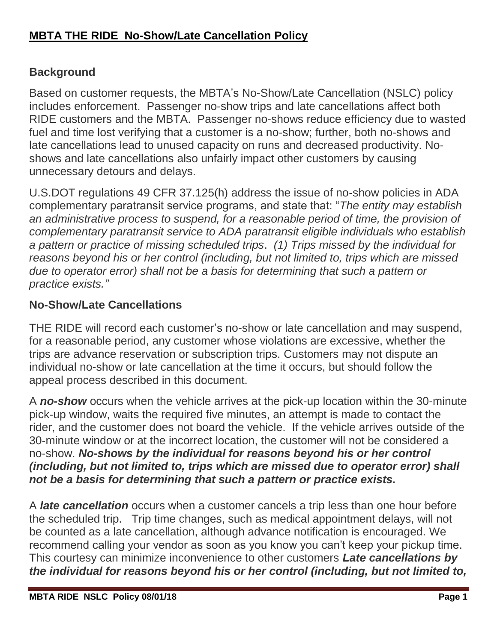### **Background**

Based on customer requests, the MBTA's No-Show/Late Cancellation (NSLC) policy includes enforcement. Passenger no-show trips and late cancellations affect both RIDE customers and the MBTA. Passenger no-shows reduce efficiency due to wasted fuel and time lost verifying that a customer is a no-show; further, both no-shows and late cancellations lead to unused capacity on runs and decreased productivity. Noshows and late cancellations also unfairly impact other customers by causing unnecessary detours and delays.

U.S.DOT regulations 49 CFR 37.125(h) address the issue of no-show policies in ADA complementary paratransit service programs, and state that: "*The entity may establish an administrative process to suspend, for a reasonable period of time, the provision of complementary paratransit service to ADA paratransit eligible individuals who establish a pattern or practice of missing scheduled trips*. *(1) Trips missed by the individual for reasons beyond his or her control (including, but not limited to, trips which are missed due to operator error) shall not be a basis for determining that such a pattern or practice exists."*

# **No-Show/Late Cancellations**

THE RIDE will record each customer's no-show or late cancellation and may suspend, for a reasonable period, any customer whose violations are excessive, whether the trips are advance reservation or subscription trips. Customers may not dispute an individual no-show or late cancellation at the time it occurs, but should follow the appeal process described in this document.

A *no-show* occurs when the vehicle arrives at the pick-up location within the 30-minute pick-up window, waits the required five minutes, an attempt is made to contact the rider, and the customer does not board the vehicle. If the vehicle arrives outside of the 30-minute window or at the incorrect location, the customer will not be considered a no-show. *No-shows by the individual for reasons beyond his or her control (including, but not limited to, trips which are missed due to operator error) shall not be a basis for determining that such a pattern or practice exists.*

A *late cancellation* occurs when a customer cancels a trip less than one hour before the scheduled trip. Trip time changes, such as medical appointment delays, will not be counted as a late cancellation, although advance notification is encouraged. We recommend calling your vendor as soon as you know you can't keep your pickup time. This courtesy can minimize inconvenience to other customers *Late cancellations by the individual for reasons beyond his or her control (including, but not limited to,*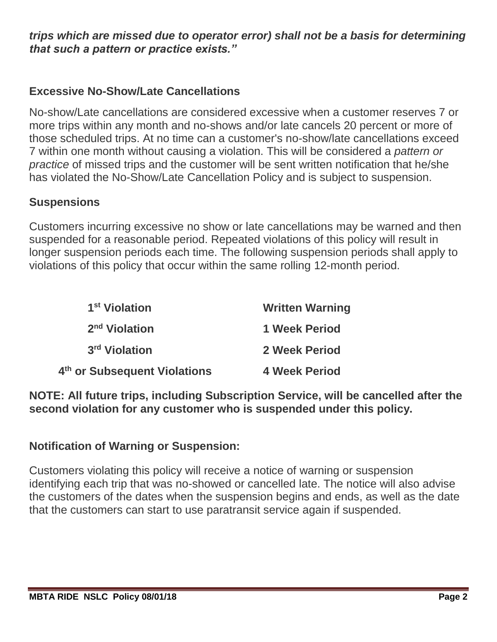*trips which are missed due to operator error) shall not be a basis for determining that such a pattern or practice exists."*

#### **Excessive No-Show/Late Cancellations**

No-show/Late cancellations are considered excessive when a customer reserves 7 or more trips within any month and no-shows and/or late cancels 20 percent or more of those scheduled trips. At no time can a customer's no-show/late cancellations exceed 7 within one month without causing a violation. This will be considered a *pattern or practice* of missed trips and the customer will be sent written notification that he/she has violated the No-Show/Late Cancellation Policy and is subject to suspension.

#### **Suspensions**

Customers incurring excessive no show or late cancellations may be warned and then suspended for a reasonable period. Repeated violations of this policy will result in longer suspension periods each time. The following suspension periods shall apply to violations of this policy that occur within the same rolling 12-month period.

| 1 <sup>st</sup> Violation    | <b>Written Warning</b> |  |
|------------------------------|------------------------|--|
| 2 <sup>nd</sup> Violation    | <b>1 Week Period</b>   |  |
| 3 <sup>rd</sup> Violation    | 2 Week Period          |  |
| 4th or Subsequent Violations | <b>4 Week Period</b>   |  |

**NOTE: All future trips, including Subscription Service, will be cancelled after the second violation for any customer who is suspended under this policy.**

#### **Notification of Warning or Suspension:**

Customers violating this policy will receive a notice of warning or suspension identifying each trip that was no-showed or cancelled late. The notice will also advise the customers of the dates when the suspension begins and ends, as well as the date that the customers can start to use paratransit service again if suspended.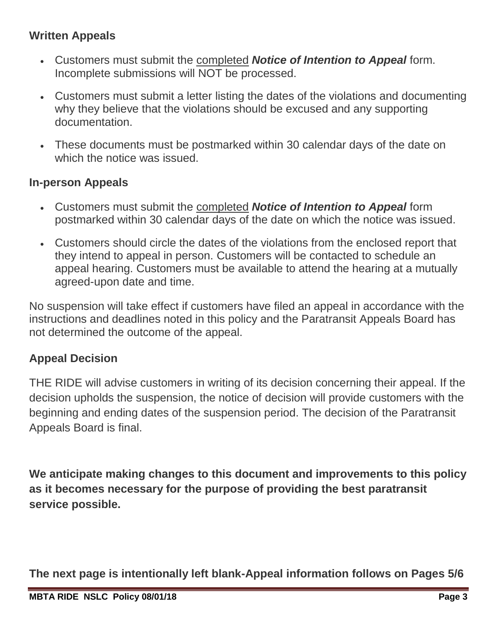#### **Written Appeals**

- Customers must submit the completed *Notice of Intention to Appeal* form. Incomplete submissions will NOT be processed.
- Customers must submit a letter listing the dates of the violations and documenting why they believe that the violations should be excused and any supporting documentation.
- These documents must be postmarked within 30 calendar days of the date on which the notice was issued.

#### **In-person Appeals**

- Customers must submit the completed *Notice of Intention to Appeal* form postmarked within 30 calendar days of the date on which the notice was issued.
- Customers should circle the dates of the violations from the enclosed report that they intend to appeal in person. Customers will be contacted to schedule an appeal hearing. Customers must be available to attend the hearing at a mutually agreed-upon date and time.

No suspension will take effect if customers have filed an appeal in accordance with the instructions and deadlines noted in this policy and the Paratransit Appeals Board has not determined the outcome of the appeal.

#### **Appeal Decision**

THE RIDE will advise customers in writing of its decision concerning their appeal. If the decision upholds the suspension, the notice of decision will provide customers with the beginning and ending dates of the suspension period. The decision of the Paratransit Appeals Board is final.

**We anticipate making changes to this document and improvements to this policy as it becomes necessary for the purpose of providing the best paratransit service possible.**

**The next page is intentionally left blank-Appeal information follows on Pages 5/6**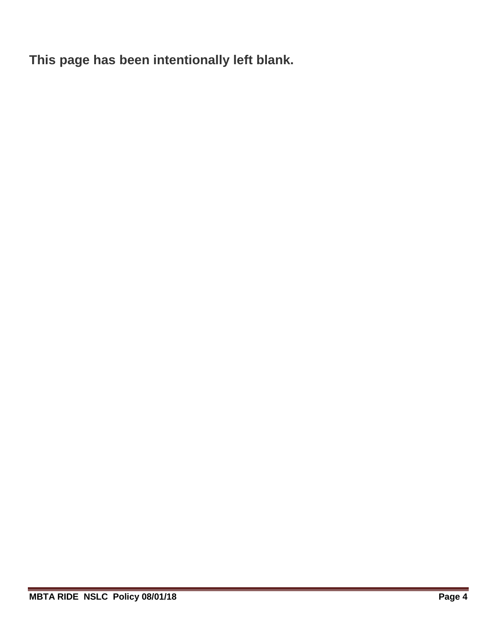**This page has been intentionally left blank.**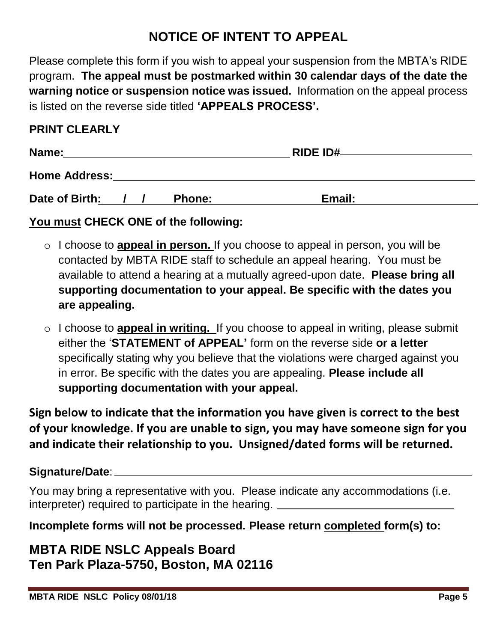# **NOTICE OF INTENT TO APPEAL**

Please complete this form if you wish to appeal your suspension from the MBTA's RIDE program. **The appeal must be postmarked within 30 calendar days of the date the warning notice or suspension notice was issued.** Information on the appeal process is listed on the reverse side titled **'APPEALS PROCESS'.**

#### **PRINT CLEARLY**

| Name:                |  | <b>RIDE ID#</b> |               |        |
|----------------------|--|-----------------|---------------|--------|
| <b>Home Address:</b> |  |                 |               |        |
| Date of Birth:       |  |                 | <b>Phone:</b> | Email: |

#### **You must CHECK ONE of the following:**

- o I choose to **appeal in person.** If you choose to appeal in person, you will be contacted by MBTA RIDE staff to schedule an appeal hearing. You must be available to attend a hearing at a mutually agreed-upon date. **Please bring all supporting documentation to your appeal. Be specific with the dates you are appealing.**
- o I choose to **appeal in writing.** If you choose to appeal in writing, please submit either the '**STATEMENT of APPEAL'** form on the reverse side **or a letter** specifically stating why you believe that the violations were charged against you in error. Be specific with the dates you are appealing. **Please include all supporting documentation with your appeal.**

**Sign below to indicate that the information you have given is correct to the best of your knowledge. If you are unable to sign, you may have someone sign for you and indicate their relationship to you. Unsigned/dated forms will be returned.**

#### **Signature/Date**:

You may bring a representative with you. Please indicate any accommodations (i.e. interpreter) required to participate in the hearing.

**Incomplete forms will not be processed. Please return completed form(s) to:**

# **MBTA RIDE NSLC Appeals Board Ten Park Plaza-5750, Boston, MA 02116**